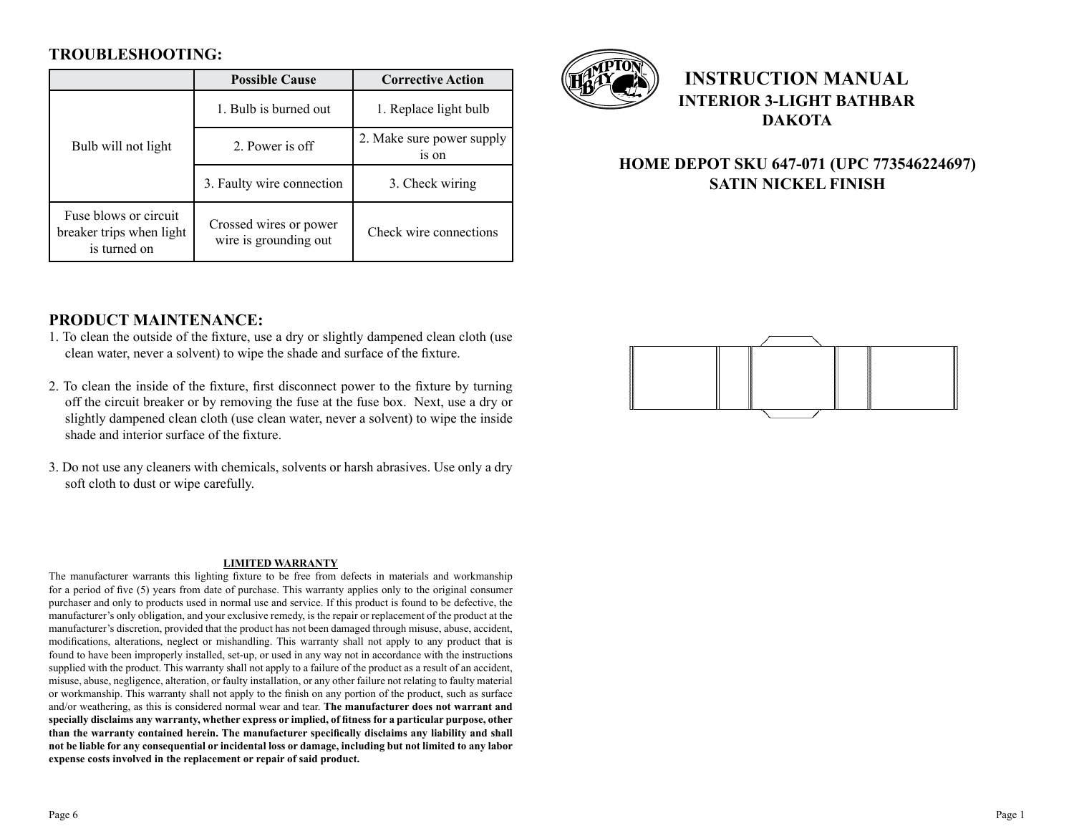### **TROUBLESHOOTING:**

|                                                                   | <b>Possible Cause</b>                           | <b>Corrective Action</b>           |
|-------------------------------------------------------------------|-------------------------------------------------|------------------------------------|
| Bulb will not light                                               | 1. Bulb is burned out                           | 1. Replace light bulb              |
|                                                                   | 2. Power is off                                 | 2. Make sure power supply<br>is on |
|                                                                   | 3. Faulty wire connection                       | 3. Check wiring                    |
| Fuse blows or circuit<br>breaker trips when light<br>is turned on | Crossed wires or power<br>wire is grounding out | Check wire connections             |



# **INSTRUCTION MANUAL INTERIOR 3-LIGHT BATHBAR DAKOTA**

## **HOME DEPOT SKU 647-071 (UPC 773546224697) SATIN NICKEL FINISH**

#### **PRODUCT MAINTENANCE:**

- 1. To clean the outside of the fixture, use a dry or slightly dampened clean cloth (use clean water, never a solvent) to wipe the shade and surface of the fixture.
- 2. To clean the inside of the fixture, first disconnect power to the fixture by turning off the circuit breaker or by removing the fuse at the fuse box. Next, use a dry or slightly dampened clean cloth (use clean water, never a solvent) to wipe the inside shade and interior surface of the fixture.
- 3. Do not use any cleaners with chemicals, solvents or harsh abrasives. Use only a dry soft cloth to dust or wipe carefully.

#### **LIMITED WARRANTY**

The manufacturer warrants this lighting fixture to be free from defects in materials and workmanship for a period of five (5) years from date of purchase. This warranty applies only to the original consumer purchaser and only to products used in normal use and service. If this product is found to be defective, the manufacturer's only obligation, and your exclusive remedy, is the repair or replacement of the product at the manufacturer's discretion, provided that the product has not been damaged through misuse, abuse, accident, modifications, alterations, neglect or mishandling. This warranty shall not apply to any product that is found to have been improperly installed, set-up, or used in any way not in accordance with the instructions supplied with the product. This warranty shall not apply to a failure of the product as a result of an accident, misuse, abuse, negligence, alteration, or faulty installation, or any other failure not relating to faulty material or workmanship. This warranty shall not apply to the finish on any portion of the product, such as surface and/or weathering, as this is considered normal wear and tear. **The manufacturer does not warrant and specially disclaims any warranty, whether express or implied, of fitness for a particular purpose, other than the warranty contained herein. The manufacturer specifically disclaims any liability and shall not be liable for any consequential or incidental loss or damage, including but not limited to any labor expense costs involved in the replacement or repair of said product.**

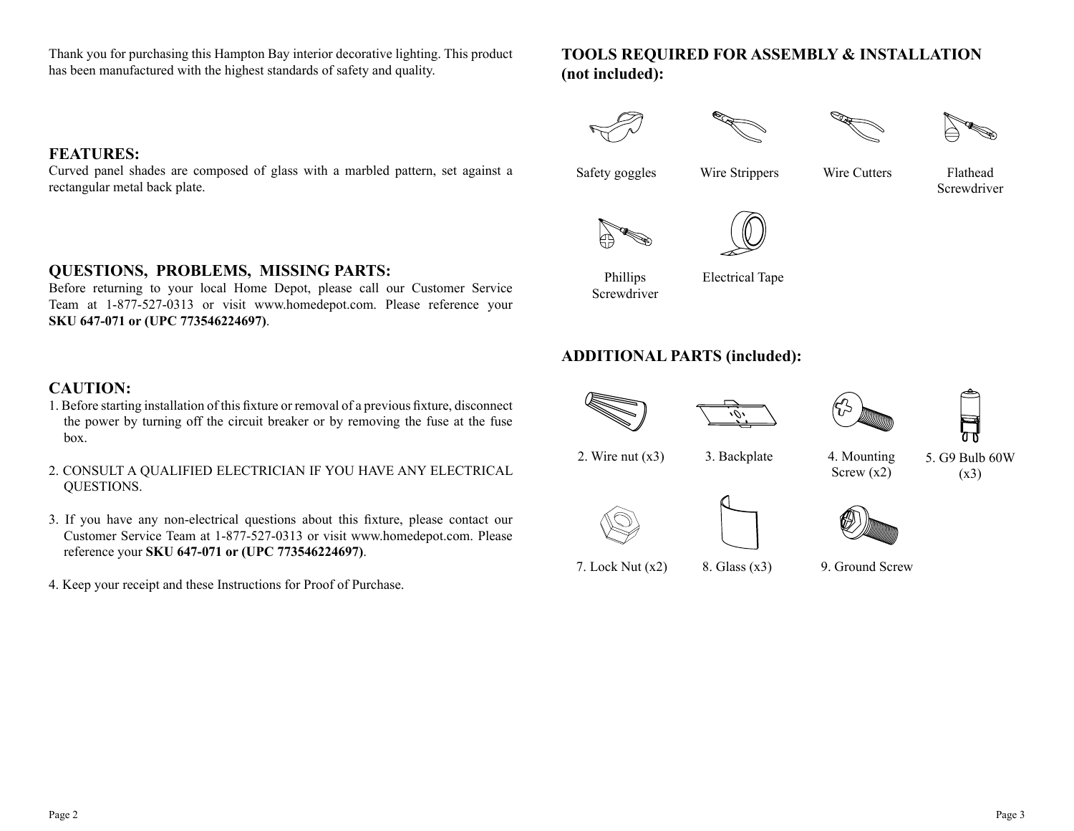Thank you for purchasing this Hampton Bay interior decorative lighting. This product has been manufactured with the highest standards of safety and quality.

## **TOOLS REQUIRED FOR ASSEMBLY & INSTALLATION (not included):**

## **FEATURES:**

Curved panel shades are composed of glass with a marbled pattern, set against a rectangular metal back plate.

### **QUESTIONS, PROBLEMS, MISSING PARTS:**

Before returning to your local Home Depot, please call our Customer Service Team at 1-877-527-0313 or visit www.homedepot.com. Please reference your **SKU 647-071 or (UPC 773546224697)**.

## **CAUTION:**

- 1. Before starting installation of this fixture or removal of a previous fixture, disconnect the power by turning off the circuit breaker or by removing the fuse at the fuse box.
- 2. CONSULT A QUALIFIED ELECTRICIAN IF YOU HAVE ANY ELECTRICAL QUESTIONS.
- 3. If you have any non-electrical questions about this fixture, please contact our Customer Service Team at 1-877-527-0313 or visit www.homedepot.com. Please reference your **SKU 647-071 or (UPC 773546224697)**.
- 4. Keep your receipt and these Instructions for Proof of Purchase.



Wire Cutters

**Screwdriver** 







# Electrical Tape

## **ADDITIONAL PARTS (included):**



7. Lock Nut (x2)

Phillips Screwdriver



8. Glass (x3)





2. Wire nut  $(x3)$  3. Backplate

4. Mounting Screw (x2)

5. G9 Bulb 60W  $(x3)$ 



9. Ground Screw